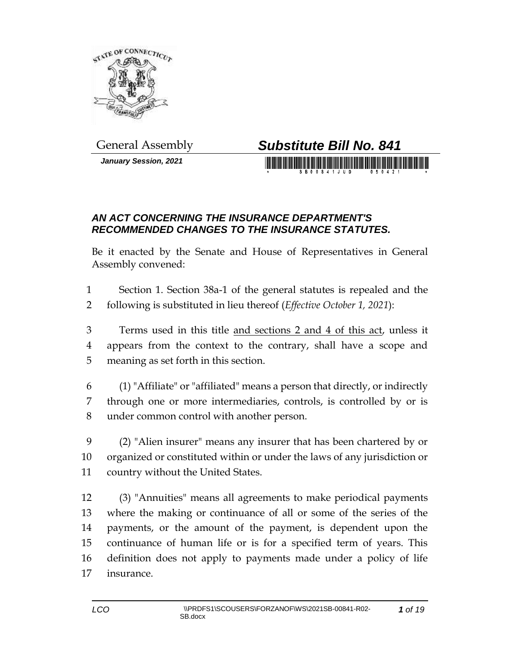

*January Session, 2021*

## General Assembly *Substitute Bill No. 841*

## *AN ACT CONCERNING THE INSURANCE DEPARTMENT'S RECOMMENDED CHANGES TO THE INSURANCE STATUTES.*

Be it enacted by the Senate and House of Representatives in General Assembly convened:

 Section 1. Section 38a-1 of the general statutes is repealed and the following is substituted in lieu thereof (*Effective October 1, 2021*):

 Terms used in this title and sections 2 and 4 of this act, unless it appears from the context to the contrary, shall have a scope and meaning as set forth in this section.

 (1) "Affiliate" or "affiliated" means a person that directly, or indirectly through one or more intermediaries, controls, is controlled by or is under common control with another person.

 (2) "Alien insurer" means any insurer that has been chartered by or organized or constituted within or under the laws of any jurisdiction or country without the United States.

 (3) "Annuities" means all agreements to make periodical payments where the making or continuance of all or some of the series of the payments, or the amount of the payment, is dependent upon the continuance of human life or is for a specified term of years. This definition does not apply to payments made under a policy of life insurance.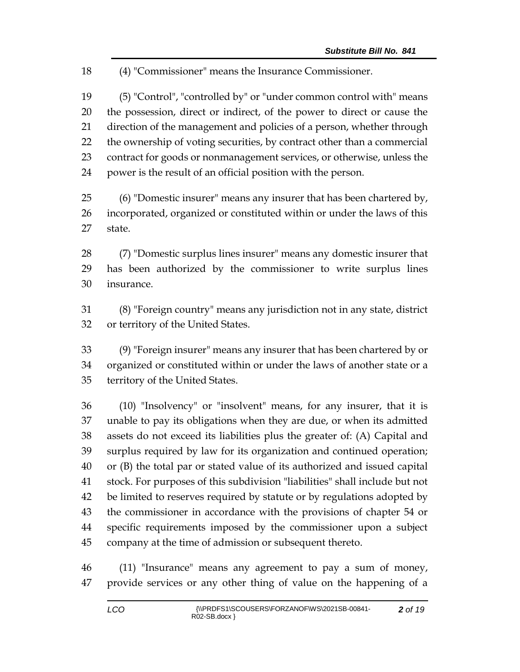(4) "Commissioner" means the Insurance Commissioner.

 (5) "Control", "controlled by" or "under common control with" means the possession, direct or indirect, of the power to direct or cause the direction of the management and policies of a person, whether through the ownership of voting securities, by contract other than a commercial contract for goods or nonmanagement services, or otherwise, unless the power is the result of an official position with the person.

 (6) "Domestic insurer" means any insurer that has been chartered by, incorporated, organized or constituted within or under the laws of this state.

 (7) "Domestic surplus lines insurer" means any domestic insurer that has been authorized by the commissioner to write surplus lines insurance.

 (8) "Foreign country" means any jurisdiction not in any state, district or territory of the United States.

 (9) "Foreign insurer" means any insurer that has been chartered by or organized or constituted within or under the laws of another state or a territory of the United States.

 (10) "Insolvency" or "insolvent" means, for any insurer, that it is unable to pay its obligations when they are due, or when its admitted assets do not exceed its liabilities plus the greater of: (A) Capital and surplus required by law for its organization and continued operation; or (B) the total par or stated value of its authorized and issued capital stock. For purposes of this subdivision "liabilities" shall include but not be limited to reserves required by statute or by regulations adopted by the commissioner in accordance with the provisions of chapter 54 or specific requirements imposed by the commissioner upon a subject company at the time of admission or subsequent thereto.

 (11) "Insurance" means any agreement to pay a sum of money, provide services or any other thing of value on the happening of a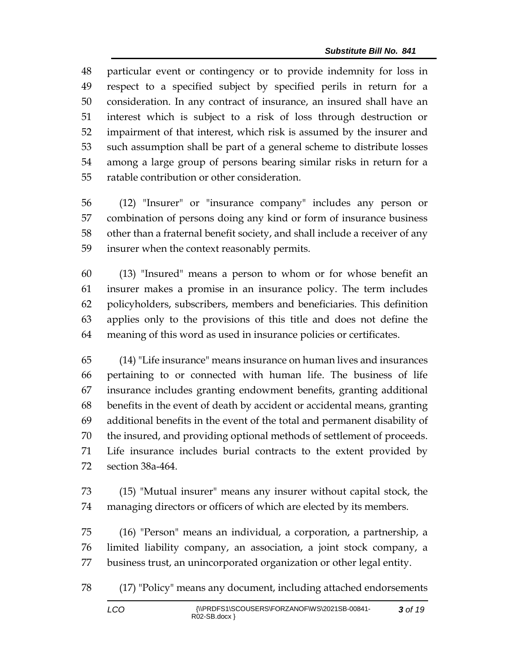particular event or contingency or to provide indemnity for loss in respect to a specified subject by specified perils in return for a consideration. In any contract of insurance, an insured shall have an interest which is subject to a risk of loss through destruction or impairment of that interest, which risk is assumed by the insurer and such assumption shall be part of a general scheme to distribute losses among a large group of persons bearing similar risks in return for a ratable contribution or other consideration.

 (12) "Insurer" or "insurance company" includes any person or combination of persons doing any kind or form of insurance business other than a fraternal benefit society, and shall include a receiver of any insurer when the context reasonably permits.

 (13) "Insured" means a person to whom or for whose benefit an insurer makes a promise in an insurance policy. The term includes policyholders, subscribers, members and beneficiaries. This definition applies only to the provisions of this title and does not define the meaning of this word as used in insurance policies or certificates.

 (14) "Life insurance" means insurance on human lives and insurances pertaining to or connected with human life. The business of life insurance includes granting endowment benefits, granting additional benefits in the event of death by accident or accidental means, granting additional benefits in the event of the total and permanent disability of the insured, and providing optional methods of settlement of proceeds. Life insurance includes burial contracts to the extent provided by section 38a-464.

 (15) "Mutual insurer" means any insurer without capital stock, the managing directors or officers of which are elected by its members.

 (16) "Person" means an individual, a corporation, a partnership, a limited liability company, an association, a joint stock company, a business trust, an unincorporated organization or other legal entity.

(17) "Policy" means any document, including attached endorsements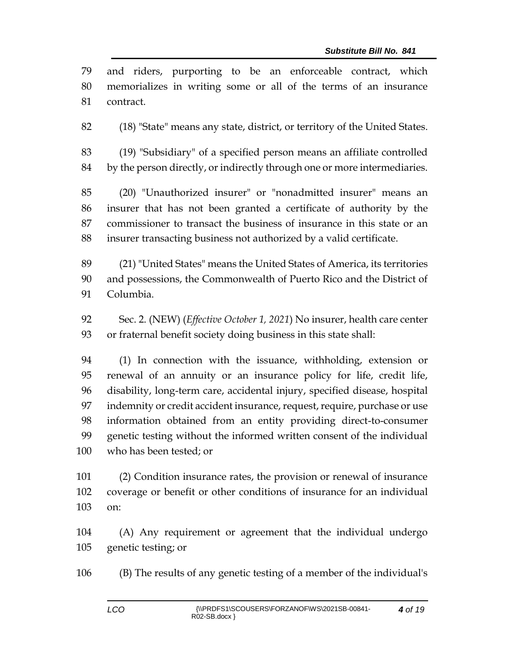| 79  | and riders, purporting to be an enforceable contract, which                |
|-----|----------------------------------------------------------------------------|
| 80  | memorializes in writing some or all of the terms of an insurance           |
| 81  | contract.                                                                  |
| 82  | (18) "State" means any state, district, or territory of the United States. |
| 83  | (19) "Subsidiary" of a specified person means an affiliate controlled      |
| 84  | by the person directly, or indirectly through one or more intermediaries.  |
| 85  | (20) "Unauthorized insurer" or "nonadmitted insurer" means an              |
| 86  | insurer that has not been granted a certificate of authority by the        |
| 87  | commissioner to transact the business of insurance in this state or an     |
| 88  | insurer transacting business not authorized by a valid certificate.        |
| 89  | (21) "United States" means the United States of America, its territories   |
| 90  | and possessions, the Commonwealth of Puerto Rico and the District of       |
| 91  | Columbia.                                                                  |
| 92  | Sec. 2. (NEW) (Effective October 1, 2021) No insurer, health care center   |
| 93  | or fraternal benefit society doing business in this state shall:           |
| 94  | (1) In connection with the issuance, withholding, extension or             |
| 95  | renewal of an annuity or an insurance policy for life, credit life,        |
| 96  | disability, long-term care, accidental injury, specified disease, hospital |
| 97  | indemnity or credit accident insurance, request, require, purchase or use  |
| 98  | information obtained from an entity providing direct-to-consumer           |
| 99  | genetic testing without the informed written consent of the individual     |
| 100 | who has been tested; or                                                    |
| 101 | (2) Condition insurance rates, the provision or renewal of insurance       |
| 102 | coverage or benefit or other conditions of insurance for an individual     |
| 103 | on:                                                                        |
| 104 | (A) Any requirement or agreement that the individual undergo               |
| 105 | genetic testing; or                                                        |

(B) The results of any genetic testing of a member of the individual's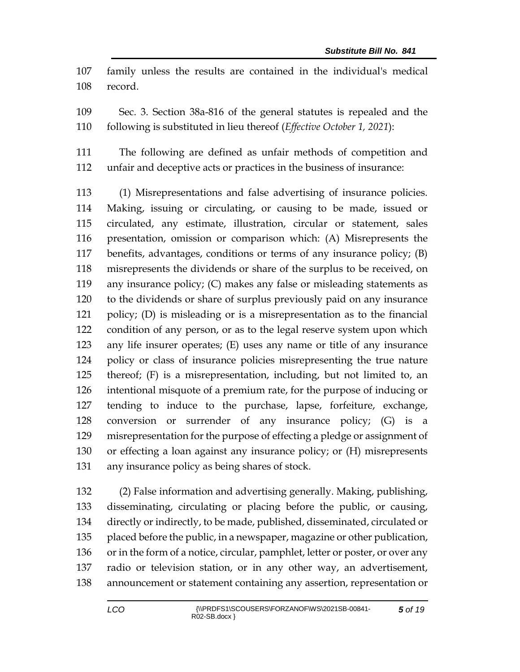family unless the results are contained in the individual's medical record.

 Sec. 3. Section 38a-816 of the general statutes is repealed and the following is substituted in lieu thereof (*Effective October 1, 2021*):

 The following are defined as unfair methods of competition and unfair and deceptive acts or practices in the business of insurance:

 (1) Misrepresentations and false advertising of insurance policies. Making, issuing or circulating, or causing to be made, issued or circulated, any estimate, illustration, circular or statement, sales presentation, omission or comparison which: (A) Misrepresents the benefits, advantages, conditions or terms of any insurance policy; (B) misrepresents the dividends or share of the surplus to be received, on any insurance policy; (C) makes any false or misleading statements as to the dividends or share of surplus previously paid on any insurance policy; (D) is misleading or is a misrepresentation as to the financial condition of any person, or as to the legal reserve system upon which any life insurer operates; (E) uses any name or title of any insurance policy or class of insurance policies misrepresenting the true nature thereof; (F) is a misrepresentation, including, but not limited to, an intentional misquote of a premium rate, for the purpose of inducing or tending to induce to the purchase, lapse, forfeiture, exchange, conversion or surrender of any insurance policy; (G) is a misrepresentation for the purpose of effecting a pledge or assignment of or effecting a loan against any insurance policy; or (H) misrepresents any insurance policy as being shares of stock.

 (2) False information and advertising generally. Making, publishing, disseminating, circulating or placing before the public, or causing, directly or indirectly, to be made, published, disseminated, circulated or placed before the public, in a newspaper, magazine or other publication, or in the form of a notice, circular, pamphlet, letter or poster, or over any radio or television station, or in any other way, an advertisement, announcement or statement containing any assertion, representation or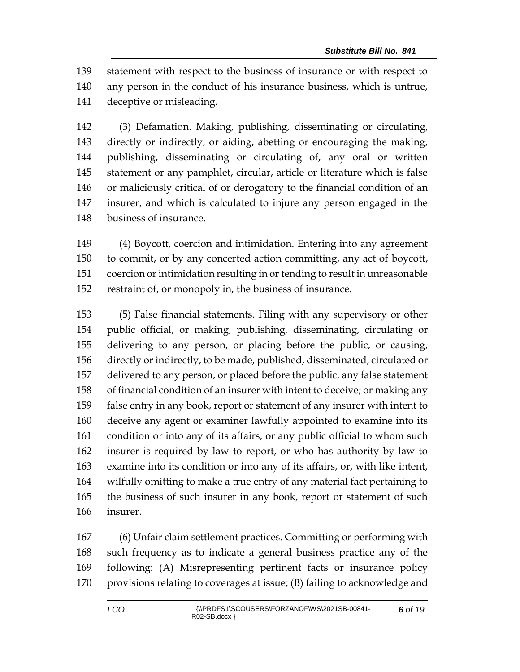statement with respect to the business of insurance or with respect to any person in the conduct of his insurance business, which is untrue, deceptive or misleading.

 (3) Defamation. Making, publishing, disseminating or circulating, directly or indirectly, or aiding, abetting or encouraging the making, publishing, disseminating or circulating of, any oral or written statement or any pamphlet, circular, article or literature which is false or maliciously critical of or derogatory to the financial condition of an insurer, and which is calculated to injure any person engaged in the business of insurance.

 (4) Boycott, coercion and intimidation. Entering into any agreement to commit, or by any concerted action committing, any act of boycott, coercion or intimidation resulting in or tending to result in unreasonable restraint of, or monopoly in, the business of insurance.

 (5) False financial statements. Filing with any supervisory or other public official, or making, publishing, disseminating, circulating or delivering to any person, or placing before the public, or causing, directly or indirectly, to be made, published, disseminated, circulated or delivered to any person, or placed before the public, any false statement of financial condition of an insurer with intent to deceive; or making any false entry in any book, report or statement of any insurer with intent to deceive any agent or examiner lawfully appointed to examine into its condition or into any of its affairs, or any public official to whom such insurer is required by law to report, or who has authority by law to examine into its condition or into any of its affairs, or, with like intent, wilfully omitting to make a true entry of any material fact pertaining to the business of such insurer in any book, report or statement of such insurer.

 (6) Unfair claim settlement practices. Committing or performing with such frequency as to indicate a general business practice any of the following: (A) Misrepresenting pertinent facts or insurance policy provisions relating to coverages at issue; (B) failing to acknowledge and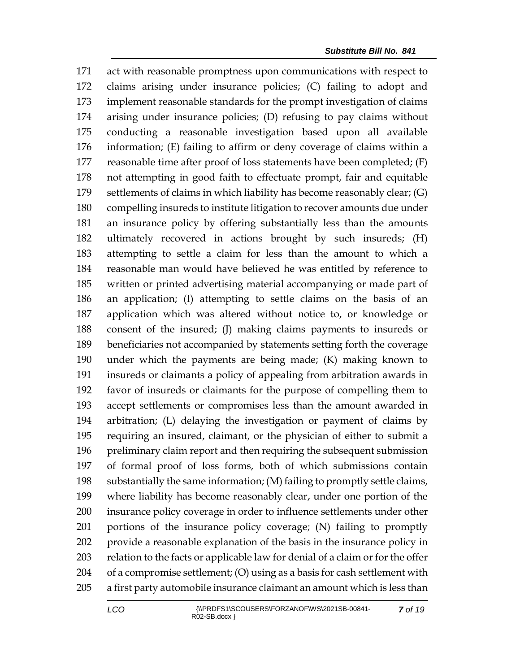act with reasonable promptness upon communications with respect to claims arising under insurance policies; (C) failing to adopt and implement reasonable standards for the prompt investigation of claims arising under insurance policies; (D) refusing to pay claims without conducting a reasonable investigation based upon all available information; (E) failing to affirm or deny coverage of claims within a reasonable time after proof of loss statements have been completed; (F) not attempting in good faith to effectuate prompt, fair and equitable settlements of claims in which liability has become reasonably clear; (G) compelling insureds to institute litigation to recover amounts due under an insurance policy by offering substantially less than the amounts ultimately recovered in actions brought by such insureds; (H) attempting to settle a claim for less than the amount to which a reasonable man would have believed he was entitled by reference to written or printed advertising material accompanying or made part of an application; (I) attempting to settle claims on the basis of an application which was altered without notice to, or knowledge or consent of the insured; (J) making claims payments to insureds or beneficiaries not accompanied by statements setting forth the coverage under which the payments are being made; (K) making known to insureds or claimants a policy of appealing from arbitration awards in favor of insureds or claimants for the purpose of compelling them to accept settlements or compromises less than the amount awarded in arbitration; (L) delaying the investigation or payment of claims by requiring an insured, claimant, or the physician of either to submit a preliminary claim report and then requiring the subsequent submission of formal proof of loss forms, both of which submissions contain substantially the same information; (M) failing to promptly settle claims, where liability has become reasonably clear, under one portion of the insurance policy coverage in order to influence settlements under other portions of the insurance policy coverage; (N) failing to promptly provide a reasonable explanation of the basis in the insurance policy in relation to the facts or applicable law for denial of a claim or for the offer of a compromise settlement; (O) using as a basis for cash settlement with a first party automobile insurance claimant an amount which is less than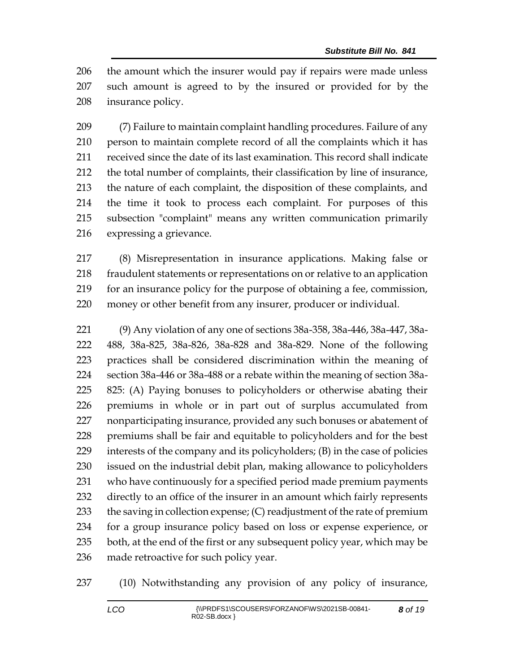the amount which the insurer would pay if repairs were made unless such amount is agreed to by the insured or provided for by the insurance policy.

 (7) Failure to maintain complaint handling procedures. Failure of any person to maintain complete record of all the complaints which it has received since the date of its last examination. This record shall indicate the total number of complaints, their classification by line of insurance, the nature of each complaint, the disposition of these complaints, and the time it took to process each complaint. For purposes of this subsection "complaint" means any written communication primarily expressing a grievance.

 (8) Misrepresentation in insurance applications. Making false or fraudulent statements or representations on or relative to an application for an insurance policy for the purpose of obtaining a fee, commission, money or other benefit from any insurer, producer or individual.

 (9) Any violation of any one of sections 38a-358, 38a-446, 38a-447, 38a- 488, 38a-825, 38a-826, 38a-828 and 38a-829. None of the following practices shall be considered discrimination within the meaning of section 38a-446 or 38a-488 or a rebate within the meaning of section 38a- 825: (A) Paying bonuses to policyholders or otherwise abating their premiums in whole or in part out of surplus accumulated from nonparticipating insurance, provided any such bonuses or abatement of premiums shall be fair and equitable to policyholders and for the best interests of the company and its policyholders; (B) in the case of policies issued on the industrial debit plan, making allowance to policyholders who have continuously for a specified period made premium payments directly to an office of the insurer in an amount which fairly represents 233 the saving in collection expense; (C) readjustment of the rate of premium for a group insurance policy based on loss or expense experience, or both, at the end of the first or any subsequent policy year, which may be made retroactive for such policy year.

(10) Notwithstanding any provision of any policy of insurance,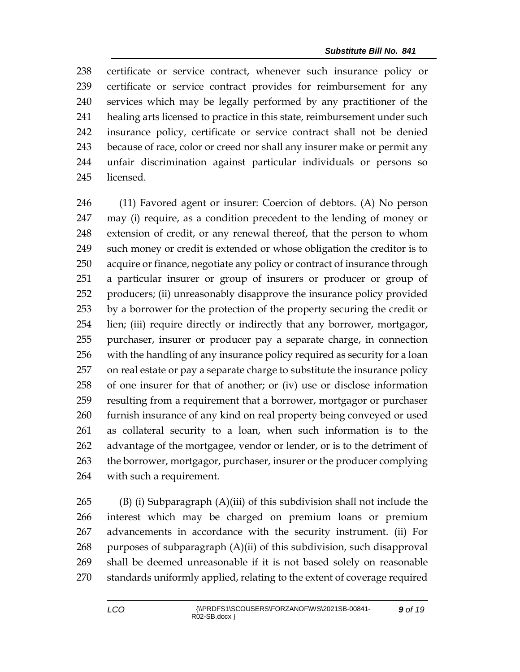certificate or service contract, whenever such insurance policy or certificate or service contract provides for reimbursement for any services which may be legally performed by any practitioner of the healing arts licensed to practice in this state, reimbursement under such insurance policy, certificate or service contract shall not be denied because of race, color or creed nor shall any insurer make or permit any unfair discrimination against particular individuals or persons so licensed.

 (11) Favored agent or insurer: Coercion of debtors. (A) No person may (i) require, as a condition precedent to the lending of money or extension of credit, or any renewal thereof, that the person to whom such money or credit is extended or whose obligation the creditor is to acquire or finance, negotiate any policy or contract of insurance through a particular insurer or group of insurers or producer or group of producers; (ii) unreasonably disapprove the insurance policy provided by a borrower for the protection of the property securing the credit or lien; (iii) require directly or indirectly that any borrower, mortgagor, purchaser, insurer or producer pay a separate charge, in connection with the handling of any insurance policy required as security for a loan on real estate or pay a separate charge to substitute the insurance policy of one insurer for that of another; or (iv) use or disclose information resulting from a requirement that a borrower, mortgagor or purchaser furnish insurance of any kind on real property being conveyed or used as collateral security to a loan, when such information is to the advantage of the mortgagee, vendor or lender, or is to the detriment of the borrower, mortgagor, purchaser, insurer or the producer complying with such a requirement.

 (B) (i) Subparagraph (A)(iii) of this subdivision shall not include the interest which may be charged on premium loans or premium advancements in accordance with the security instrument. (ii) For 268 purposes of subparagraph  $(A)(ii)$  of this subdivision, such disapproval shall be deemed unreasonable if it is not based solely on reasonable standards uniformly applied, relating to the extent of coverage required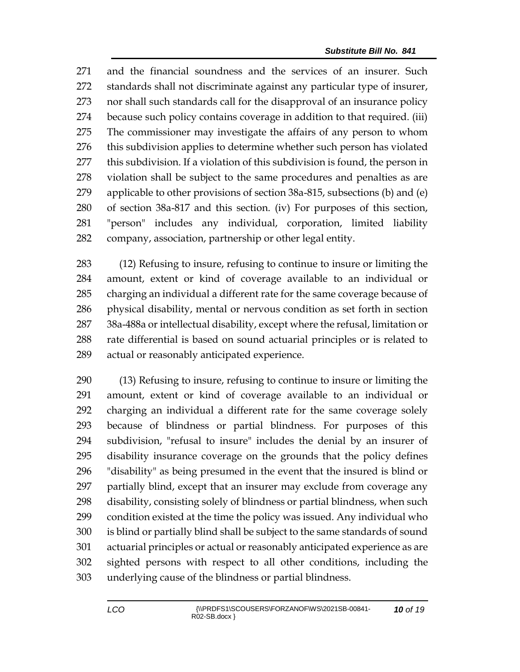and the financial soundness and the services of an insurer. Such standards shall not discriminate against any particular type of insurer, nor shall such standards call for the disapproval of an insurance policy because such policy contains coverage in addition to that required. (iii) The commissioner may investigate the affairs of any person to whom 276 this subdivision applies to determine whether such person has violated this subdivision. If a violation of this subdivision is found, the person in violation shall be subject to the same procedures and penalties as are applicable to other provisions of section 38a-815, subsections (b) and (e) of section 38a-817 and this section. (iv) For purposes of this section, "person" includes any individual, corporation, limited liability company, association, partnership or other legal entity.

 (12) Refusing to insure, refusing to continue to insure or limiting the amount, extent or kind of coverage available to an individual or charging an individual a different rate for the same coverage because of physical disability, mental or nervous condition as set forth in section 38a-488a or intellectual disability, except where the refusal, limitation or rate differential is based on sound actuarial principles or is related to actual or reasonably anticipated experience.

 (13) Refusing to insure, refusing to continue to insure or limiting the amount, extent or kind of coverage available to an individual or charging an individual a different rate for the same coverage solely because of blindness or partial blindness. For purposes of this subdivision, "refusal to insure" includes the denial by an insurer of disability insurance coverage on the grounds that the policy defines "disability" as being presumed in the event that the insured is blind or partially blind, except that an insurer may exclude from coverage any disability, consisting solely of blindness or partial blindness, when such condition existed at the time the policy was issued. Any individual who is blind or partially blind shall be subject to the same standards of sound actuarial principles or actual or reasonably anticipated experience as are sighted persons with respect to all other conditions, including the underlying cause of the blindness or partial blindness.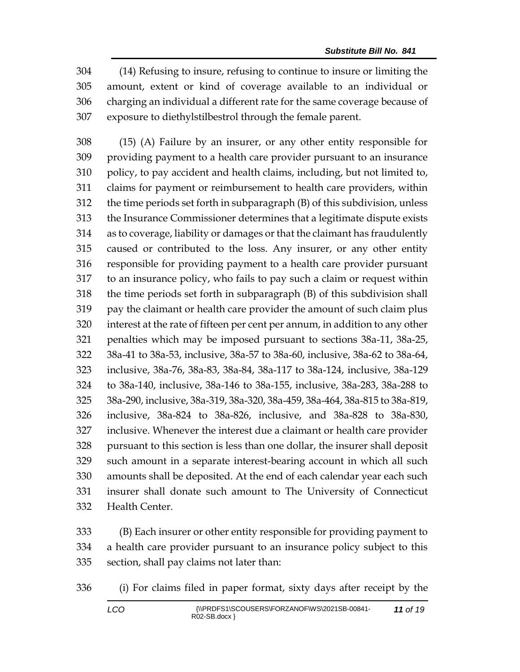(14) Refusing to insure, refusing to continue to insure or limiting the amount, extent or kind of coverage available to an individual or charging an individual a different rate for the same coverage because of exposure to diethylstilbestrol through the female parent.

 (15) (A) Failure by an insurer, or any other entity responsible for providing payment to a health care provider pursuant to an insurance policy, to pay accident and health claims, including, but not limited to, claims for payment or reimbursement to health care providers, within the time periods set forth in subparagraph (B) of this subdivision, unless the Insurance Commissioner determines that a legitimate dispute exists as to coverage, liability or damages or that the claimant has fraudulently caused or contributed to the loss. Any insurer, or any other entity responsible for providing payment to a health care provider pursuant to an insurance policy, who fails to pay such a claim or request within the time periods set forth in subparagraph (B) of this subdivision shall pay the claimant or health care provider the amount of such claim plus interest at the rate of fifteen per cent per annum, in addition to any other penalties which may be imposed pursuant to sections 38a-11, 38a-25, 38a-41 to 38a-53, inclusive, 38a-57 to 38a-60, inclusive, 38a-62 to 38a-64, inclusive, 38a-76, 38a-83, 38a-84, 38a-117 to 38a-124, inclusive, 38a-129 to 38a-140, inclusive, 38a-146 to 38a-155, inclusive, 38a-283, 38a-288 to 38a-290, inclusive, 38a-319, 38a-320, 38a-459, 38a-464, 38a-815 to 38a-819, inclusive, 38a-824 to 38a-826, inclusive, and 38a-828 to 38a-830, inclusive. Whenever the interest due a claimant or health care provider pursuant to this section is less than one dollar, the insurer shall deposit such amount in a separate interest-bearing account in which all such amounts shall be deposited. At the end of each calendar year each such insurer shall donate such amount to The University of Connecticut Health Center.

 (B) Each insurer or other entity responsible for providing payment to a health care provider pursuant to an insurance policy subject to this section, shall pay claims not later than:

(i) For claims filed in paper format, sixty days after receipt by the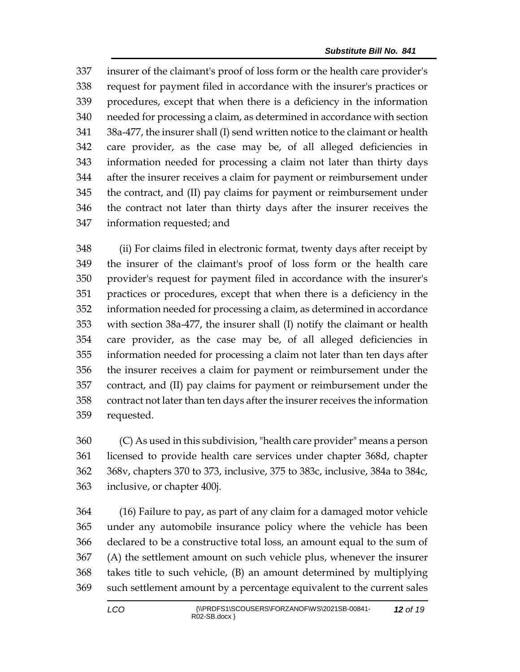insurer of the claimant's proof of loss form or the health care provider's request for payment filed in accordance with the insurer's practices or procedures, except that when there is a deficiency in the information needed for processing a claim, as determined in accordance with section 38a-477, the insurer shall (I) send written notice to the claimant or health care provider, as the case may be, of all alleged deficiencies in information needed for processing a claim not later than thirty days after the insurer receives a claim for payment or reimbursement under the contract, and (II) pay claims for payment or reimbursement under the contract not later than thirty days after the insurer receives the information requested; and

 (ii) For claims filed in electronic format, twenty days after receipt by the insurer of the claimant's proof of loss form or the health care provider's request for payment filed in accordance with the insurer's practices or procedures, except that when there is a deficiency in the information needed for processing a claim, as determined in accordance with section 38a-477, the insurer shall (I) notify the claimant or health care provider, as the case may be, of all alleged deficiencies in information needed for processing a claim not later than ten days after the insurer receives a claim for payment or reimbursement under the contract, and (II) pay claims for payment or reimbursement under the contract not later than ten days after the insurer receives the information requested.

 (C) As used in this subdivision, "health care provider" means a person licensed to provide health care services under chapter 368d, chapter 368v, chapters 370 to 373, inclusive, 375 to 383c, inclusive, 384a to 384c, inclusive, or chapter 400j.

 (16) Failure to pay, as part of any claim for a damaged motor vehicle under any automobile insurance policy where the vehicle has been declared to be a constructive total loss, an amount equal to the sum of (A) the settlement amount on such vehicle plus, whenever the insurer takes title to such vehicle, (B) an amount determined by multiplying such settlement amount by a percentage equivalent to the current sales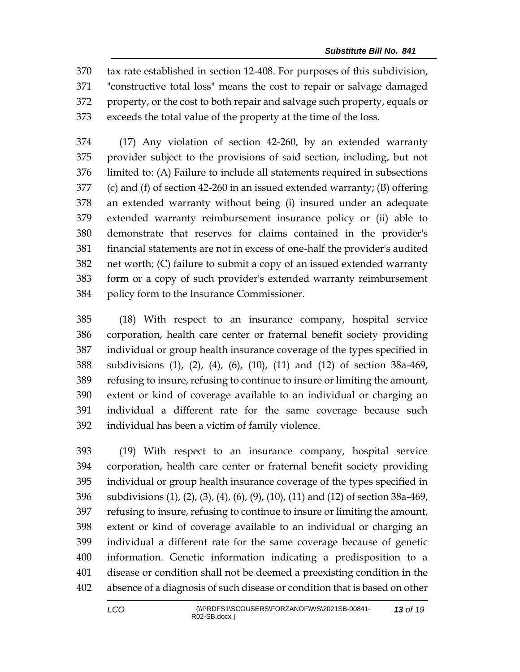tax rate established in section 12-408. For purposes of this subdivision, "constructive total loss" means the cost to repair or salvage damaged property, or the cost to both repair and salvage such property, equals or exceeds the total value of the property at the time of the loss.

 (17) Any violation of section 42-260, by an extended warranty provider subject to the provisions of said section, including, but not limited to: (A) Failure to include all statements required in subsections (c) and (f) of section 42-260 in an issued extended warranty; (B) offering an extended warranty without being (i) insured under an adequate extended warranty reimbursement insurance policy or (ii) able to demonstrate that reserves for claims contained in the provider's financial statements are not in excess of one-half the provider's audited net worth; (C) failure to submit a copy of an issued extended warranty form or a copy of such provider's extended warranty reimbursement policy form to the Insurance Commissioner.

 (18) With respect to an insurance company, hospital service corporation, health care center or fraternal benefit society providing individual or group health insurance coverage of the types specified in subdivisions (1), (2), (4), (6), (10), (11) and (12) of section 38a-469, refusing to insure, refusing to continue to insure or limiting the amount, extent or kind of coverage available to an individual or charging an individual a different rate for the same coverage because such individual has been a victim of family violence.

 (19) With respect to an insurance company, hospital service corporation, health care center or fraternal benefit society providing individual or group health insurance coverage of the types specified in subdivisions (1), (2), (3), (4), (6), (9), (10), (11) and (12) of section 38a-469, refusing to insure, refusing to continue to insure or limiting the amount, extent or kind of coverage available to an individual or charging an individual a different rate for the same coverage because of genetic information. Genetic information indicating a predisposition to a disease or condition shall not be deemed a preexisting condition in the absence of a diagnosis of such disease or condition that is based on other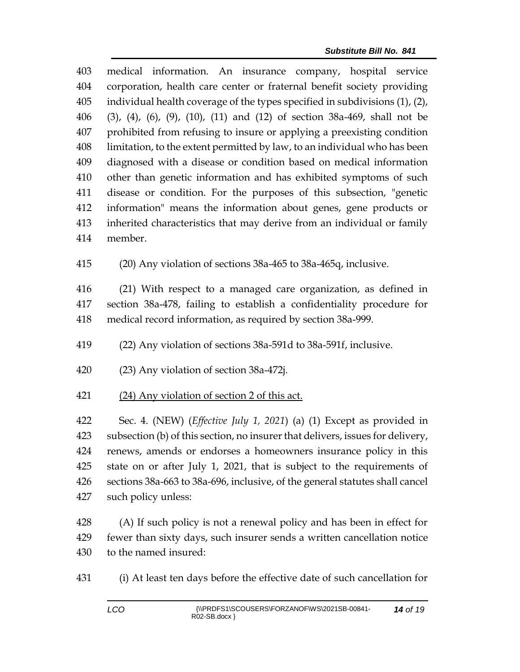medical information. An insurance company, hospital service corporation, health care center or fraternal benefit society providing individual health coverage of the types specified in subdivisions (1), (2), (3), (4), (6), (9), (10), (11) and (12) of section 38a-469, shall not be prohibited from refusing to insure or applying a preexisting condition limitation, to the extent permitted by law, to an individual who has been diagnosed with a disease or condition based on medical information other than genetic information and has exhibited symptoms of such disease or condition. For the purposes of this subsection, "genetic information" means the information about genes, gene products or inherited characteristics that may derive from an individual or family member.

(20) Any violation of sections 38a-465 to 38a-465q, inclusive.

 (21) With respect to a managed care organization, as defined in section 38a-478, failing to establish a confidentiality procedure for medical record information, as required by section 38a-999.

(22) Any violation of sections 38a-591d to 38a-591f, inclusive.

- (23) Any violation of section 38a-472j.
- (24) Any violation of section 2 of this act.

 Sec. 4. (NEW) (*Effective July 1, 2021*) (a) (1) Except as provided in subsection (b) of this section, no insurer that delivers, issues for delivery, renews, amends or endorses a homeowners insurance policy in this state on or after July 1, 2021, that is subject to the requirements of sections 38a-663 to 38a-696, inclusive, of the general statutes shall cancel such policy unless:

428 (A) If such policy is not a renewal policy and has been in effect for fewer than sixty days, such insurer sends a written cancellation notice to the named insured:

(i) At least ten days before the effective date of such cancellation for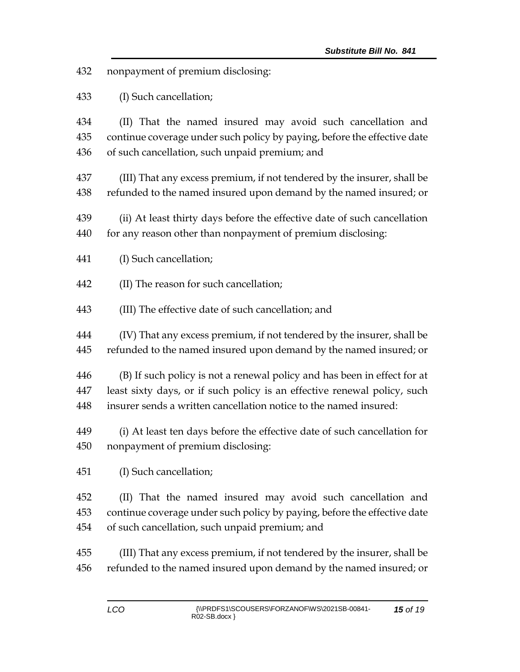nonpayment of premium disclosing:

(I) Such cancellation;

 (II) That the named insured may avoid such cancellation and continue coverage under such policy by paying, before the effective date of such cancellation, such unpaid premium; and

 (III) That any excess premium, if not tendered by the insurer, shall be refunded to the named insured upon demand by the named insured; or

 (ii) At least thirty days before the effective date of such cancellation 440 for any reason other than nonpayment of premium disclosing:

(I) Such cancellation;

(II) The reason for such cancellation;

(III) The effective date of such cancellation; and

 (IV) That any excess premium, if not tendered by the insurer, shall be refunded to the named insured upon demand by the named insured; or

 (B) If such policy is not a renewal policy and has been in effect for at least sixty days, or if such policy is an effective renewal policy, such insurer sends a written cancellation notice to the named insured:

 (i) At least ten days before the effective date of such cancellation for nonpayment of premium disclosing:

(I) Such cancellation;

 (II) That the named insured may avoid such cancellation and continue coverage under such policy by paying, before the effective date of such cancellation, such unpaid premium; and

 (III) That any excess premium, if not tendered by the insurer, shall be refunded to the named insured upon demand by the named insured; or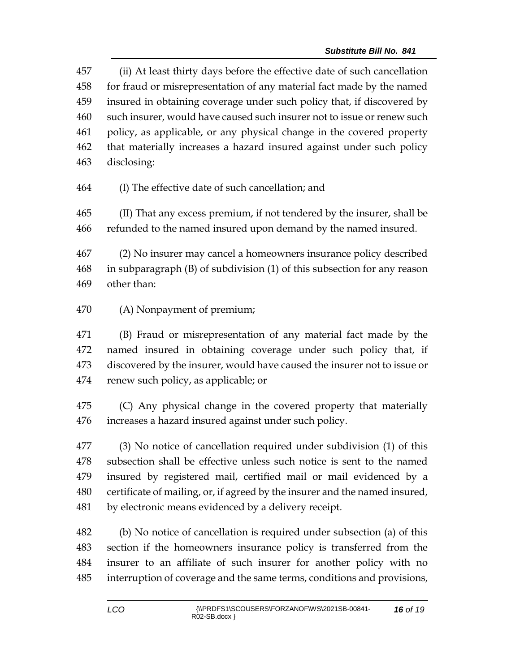(ii) At least thirty days before the effective date of such cancellation for fraud or misrepresentation of any material fact made by the named insured in obtaining coverage under such policy that, if discovered by such insurer, would have caused such insurer not to issue or renew such policy, as applicable, or any physical change in the covered property that materially increases a hazard insured against under such policy disclosing:

(I) The effective date of such cancellation; and

 (II) That any excess premium, if not tendered by the insurer, shall be refunded to the named insured upon demand by the named insured.

 (2) No insurer may cancel a homeowners insurance policy described in subparagraph (B) of subdivision (1) of this subsection for any reason other than:

(A) Nonpayment of premium;

 (B) Fraud or misrepresentation of any material fact made by the named insured in obtaining coverage under such policy that, if discovered by the insurer, would have caused the insurer not to issue or renew such policy, as applicable; or

 (C) Any physical change in the covered property that materially increases a hazard insured against under such policy.

 (3) No notice of cancellation required under subdivision (1) of this subsection shall be effective unless such notice is sent to the named insured by registered mail, certified mail or mail evidenced by a certificate of mailing, or, if agreed by the insurer and the named insured, by electronic means evidenced by a delivery receipt.

 (b) No notice of cancellation is required under subsection (a) of this section if the homeowners insurance policy is transferred from the insurer to an affiliate of such insurer for another policy with no interruption of coverage and the same terms, conditions and provisions,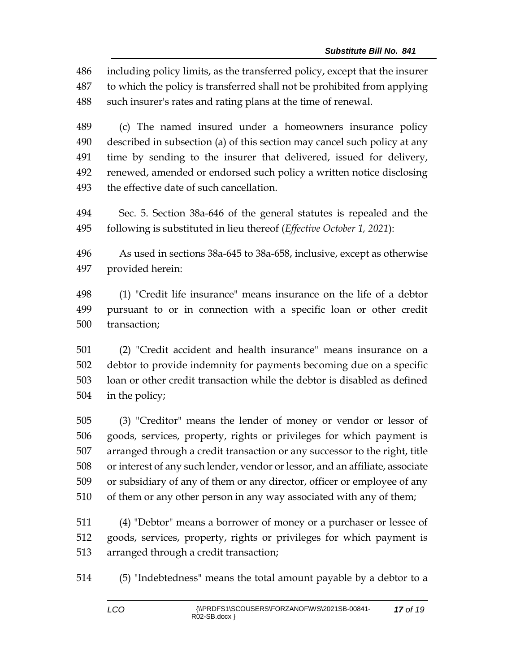including policy limits, as the transferred policy, except that the insurer to which the policy is transferred shall not be prohibited from applying such insurer's rates and rating plans at the time of renewal.

 (c) The named insured under a homeowners insurance policy described in subsection (a) of this section may cancel such policy at any time by sending to the insurer that delivered, issued for delivery, renewed, amended or endorsed such policy a written notice disclosing the effective date of such cancellation.

 Sec. 5. Section 38a-646 of the general statutes is repealed and the following is substituted in lieu thereof (*Effective October 1, 2021*):

 As used in sections 38a-645 to 38a-658, inclusive, except as otherwise provided herein:

 (1) "Credit life insurance" means insurance on the life of a debtor pursuant to or in connection with a specific loan or other credit transaction;

 (2) "Credit accident and health insurance" means insurance on a debtor to provide indemnity for payments becoming due on a specific loan or other credit transaction while the debtor is disabled as defined in the policy;

 (3) "Creditor" means the lender of money or vendor or lessor of goods, services, property, rights or privileges for which payment is arranged through a credit transaction or any successor to the right, title or interest of any such lender, vendor or lessor, and an affiliate, associate or subsidiary of any of them or any director, officer or employee of any of them or any other person in any way associated with any of them;

 (4) "Debtor" means a borrower of money or a purchaser or lessee of goods, services, property, rights or privileges for which payment is arranged through a credit transaction;

(5) "Indebtedness" means the total amount payable by a debtor to a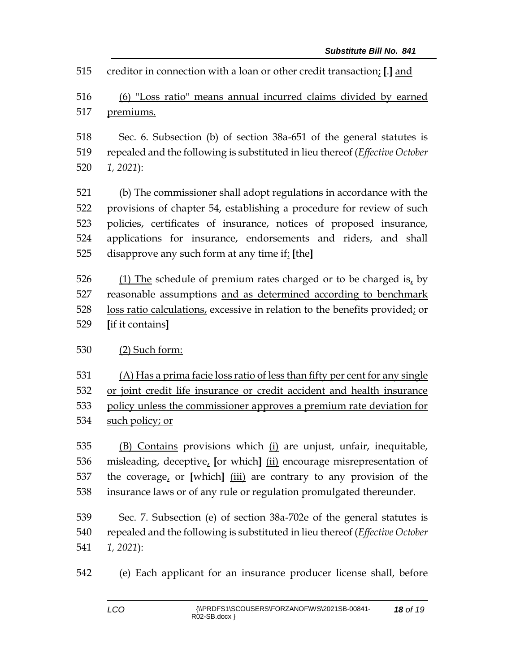creditor in connection with a loan or other credit transaction; **[**.**]** and

 (6) "Loss ratio" means annual incurred claims divided by earned premiums.

 Sec. 6. Subsection (b) of section 38a-651 of the general statutes is repealed and the following is substituted in lieu thereof (*Effective October 1, 2021*):

 (b) The commissioner shall adopt regulations in accordance with the provisions of chapter 54, establishing a procedure for review of such policies, certificates of insurance, notices of proposed insurance, applications for insurance, endorsements and riders, and shall disapprove any such form at any time if: **[**the**]**

 (1) The schedule of premium rates charged or to be charged is, by reasonable assumptions and as determined according to benchmark loss ratio calculations, excessive in relation to the benefits provided; or **[**if it contains**]**

## (2) Such form:

 (A) Has a prima facie loss ratio of less than fifty per cent for any single or joint credit life insurance or credit accident and health insurance policy unless the commissioner approves a premium rate deviation for 534 such policy; or

 (B) Contains provisions which (i) are unjust, unfair, inequitable, misleading, deceptive, **[**or which**]** (ii) encourage misrepresentation of the coverage, or **[**which**]** (iii) are contrary to any provision of the insurance laws or of any rule or regulation promulgated thereunder.

 Sec. 7. Subsection (e) of section 38a-702e of the general statutes is repealed and the following is substituted in lieu thereof (*Effective October 1, 2021*):

(e) Each applicant for an insurance producer license shall, before